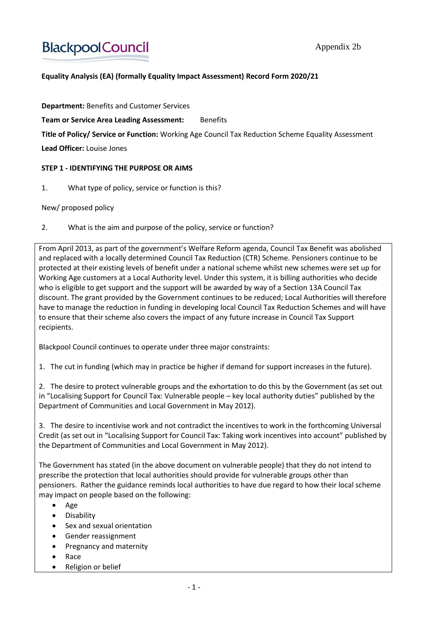# **BlackpoolCouncil**

## **Equality Analysis (EA) (formally Equality Impact Assessment) Record Form 2020/21**

**Department:** Benefits and Customer Services

**Team or Service Area Leading Assessment:** Benefits

**Title of Policy/ Service or Function:** Working Age Council Tax Reduction Scheme Equality Assessment

**Lead Officer:** Louise Jones

#### **STEP 1 - IDENTIFYING THE PURPOSE OR AIMS**

1. What type of policy, service or function is this?

#### New/ proposed policy

2. What is the aim and purpose of the policy, service or function?

From April 2013, as part of the government's Welfare Reform agenda, Council Tax Benefit was abolished and replaced with a locally determined Council Tax Reduction (CTR) Scheme. Pensioners continue to be protected at their existing levels of benefit under a national scheme whilst new schemes were set up for Working Age customers at a Local Authority level. Under this system, it is billing authorities who decide who is eligible to get support and the support will be awarded by way of a Section 13A Council Tax discount. The grant provided by the Government continues to be reduced; Local Authorities will therefore have to manage the reduction in funding in developing local Council Tax Reduction Schemes and will have to ensure that their scheme also covers the impact of any future increase in Council Tax Support recipients.

Blackpool Council continues to operate under three major constraints:

1. The cut in funding (which may in practice be higher if demand for support increases in the future).

2. The desire to protect vulnerable groups and the exhortation to do this by the Government (as set out in "Localising Support for Council Tax: Vulnerable people – key local authority duties" published by the Department of Communities and Local Government in May 2012).

3. The desire to incentivise work and not contradict the incentives to work in the forthcoming Universal Credit (as set out in "Localising Support for Council Tax: Taking work incentives into account" published by the Department of Communities and Local Government in May 2012).

The Government has stated (in the above document on vulnerable people) that they do not intend to prescribe the protection that local authorities should provide for vulnerable groups other than pensioners. Rather the guidance reminds local authorities to have due regard to how their local scheme may impact on people based on the following:

- Age
- **•** Disability
- Sex and sexual orientation
- **•** Gender reassignment
- Pregnancy and maternity
- Race
- Religion or belief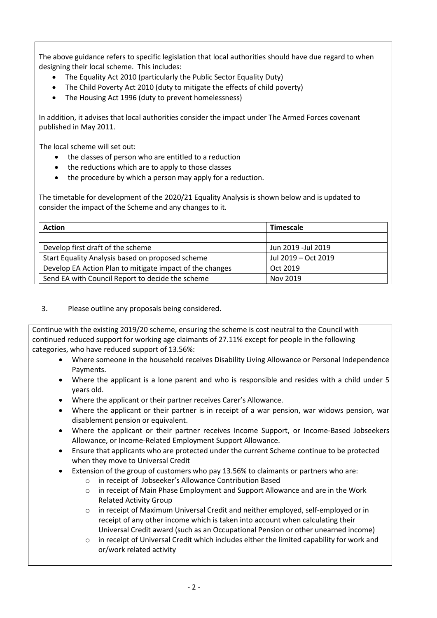The above guidance refers to specific legislation that local authorities should have due regard to when designing their local scheme. This includes:

- The Equality Act 2010 (particularly the Public Sector Equality Duty)
- The Child Poverty Act 2010 (duty to mitigate the effects of child poverty)
- The Housing Act 1996 (duty to prevent homelessness)

In addition, it advises that local authorities consider the impact under The Armed Forces covenant published in May 2011.

The local scheme will set out:

- the classes of person who are entitled to a reduction
- the reductions which are to apply to those classes
- the procedure by which a person may apply for a reduction.

The timetable for development of the 2020/21 Equality Analysis is shown below and is updated to consider the impact of the Scheme and any changes to it.

| <b>Action</b>                                            | <b>Timescale</b>    |  |  |
|----------------------------------------------------------|---------------------|--|--|
|                                                          |                     |  |  |
| Develop first draft of the scheme                        | Jun 2019 - Jul 2019 |  |  |
| Start Equality Analysis based on proposed scheme         | Jul 2019 – Oct 2019 |  |  |
| Develop EA Action Plan to mitigate impact of the changes | Oct 2019            |  |  |
| Send EA with Council Report to decide the scheme         | Nov 2019            |  |  |

#### 3. Please outline any proposals being considered.

Continue with the existing 2019/20 scheme, ensuring the scheme is cost neutral to the Council with continued reduced support for working age claimants of 27.11% except for people in the following categories, who have reduced support of 13.56%:

- Where someone in the household receives Disability Living Allowance or Personal Independence Payments.
- Where the applicant is a lone parent and who is responsible and resides with a child under 5 years old.
- Where the applicant or their partner receives Carer's Allowance.
- Where the applicant or their partner is in receipt of a war pension, war widows pension, war disablement pension or equivalent.
- Where the applicant or their partner receives Income Support, or Income-Based Jobseekers Allowance, or Income-Related Employment Support Allowance.
- Ensure that applicants who are protected under the current Scheme continue to be protected when they move to Universal Credit
- Extension of the group of customers who pay 13.56% to claimants or partners who are:
	- o in receipt of Jobseeker's Allowance Contribution Based
	- o in receipt of Main Phase Employment and Support Allowance and are in the Work Related Activity Group
	- o in receipt of Maximum Universal Credit and neither employed, self-employed or in receipt of any other income which is taken into account when calculating their Universal Credit award (such as an Occupational Pension or other unearned income)
	- $\circ$  in receipt of Universal Credit which includes either the limited capability for work and or/work related activity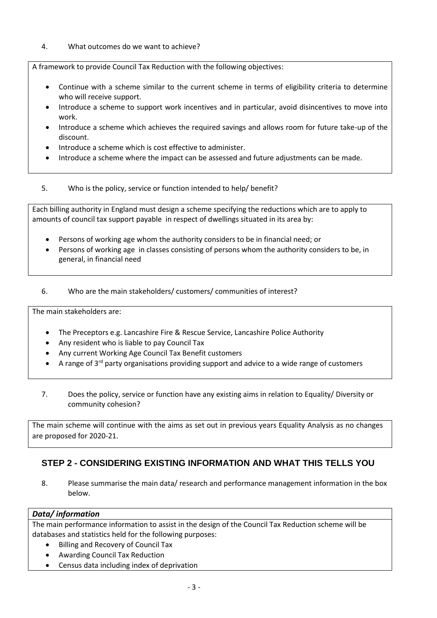#### 4. What outcomes do we want to achieve?

A framework to provide Council Tax Reduction with the following objectives:

- Continue with a scheme similar to the current scheme in terms of eligibility criteria to determine who will receive support.
- Introduce a scheme to support work incentives and in particular, avoid disincentives to move into work.
- Introduce a scheme which achieves the required savings and allows room for future take-up of the discount.
- Introduce a scheme which is cost effective to administer.
- Introduce a scheme where the impact can be assessed and future adjustments can be made.
- 5. Who is the policy, service or function intended to help/ benefit?

Each billing authority in England must design a scheme specifying the reductions which are to apply to amounts of council tax support payable in respect of dwellings situated in its area by:

- Persons of working age whom the authority considers to be in financial need; or
- Persons of working age in classes consisting of persons whom the authority considers to be, in general, in financial need
- 6. Who are the main stakeholders/ customers/ communities of interest?

The main stakeholders are:

- The Preceptors e.g. Lancashire Fire & Rescue Service, Lancashire Police Authority
- Any resident who is liable to pay Council Tax
- Any current Working Age Council Tax Benefit customers
- A range of  $3^{rd}$  party organisations providing support and advice to a wide range of customers
- 7. Does the policy, service or function have any existing aims in relation to Equality/ Diversity or community cohesion?

The main scheme will continue with the aims as set out in previous years Equality Analysis as no changes are proposed for 2020-21.

## **STEP 2 - CONSIDERING EXISTING INFORMATION AND WHAT THIS TELLS YOU**

8. Please summarise the main data/ research and performance management information in the box below.

#### *Data/ information*

The main performance information to assist in the design of the Council Tax Reduction scheme will be databases and statistics held for the following purposes:

- Billing and Recovery of Council Tax
- Awarding Council Tax Reduction
- Census data including index of deprivation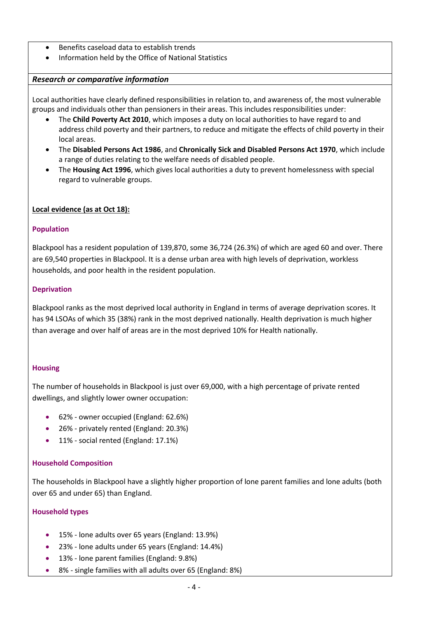- Benefits caseload data to establish trends
- Information held by the Office of National Statistics

#### *Research or comparative information*

Local authorities have clearly defined responsibilities in relation to, and awareness of, the most vulnerable groups and individuals other than pensioners in their areas. This includes responsibilities under:

- The **Child Poverty Act 2010**, which imposes a duty on local authorities to have regard to and address child poverty and their partners, to reduce and mitigate the effects of child poverty in their local areas.
- The **Disabled Persons Act 1986**, and **Chronically Sick and Disabled Persons Act 1970**, which include a range of duties relating to the welfare needs of disabled people.
- The **Housing Act 1996**, which gives local authorities a duty to prevent homelessness with special regard to vulnerable groups.

#### **Local evidence (as at Oct 18):**

#### **Population**

Blackpool has a resident population of 139,870, some 36,724 (26.3%) of which are aged 60 and over. There are 69,540 properties in Blackpool. It is a dense urban area with high levels of deprivation, workless households, and poor health in the resident population.

#### **Deprivation**

Blackpool ranks as the most deprived local authority in England in terms of average deprivation scores. It has 94 LSOAs of which 35 (38%) rank in the most deprived nationally. Health deprivation is much higher than average and over half of areas are in the most deprived 10% for Health nationally.

#### **Housing**

The number of households in Blackpool is just over 69,000, with a high percentage of private rented dwellings, and slightly lower owner occupation:

- 62% owner occupied (England: 62.6%)
- 26% privately rented (England: 20.3%)
- 11% social rented (England: 17.1%)

#### **Household Composition**

The households in Blackpool have a slightly higher proportion of lone parent families and lone adults (both over 65 and under 65) than England.

## **Household types**

- 15% lone adults over 65 years (England: 13.9%)
- 23% lone adults under 65 years (England: 14.4%)
- 13% lone parent families (England: 9.8%)
- 8% single families with all adults over 65 (England: 8%)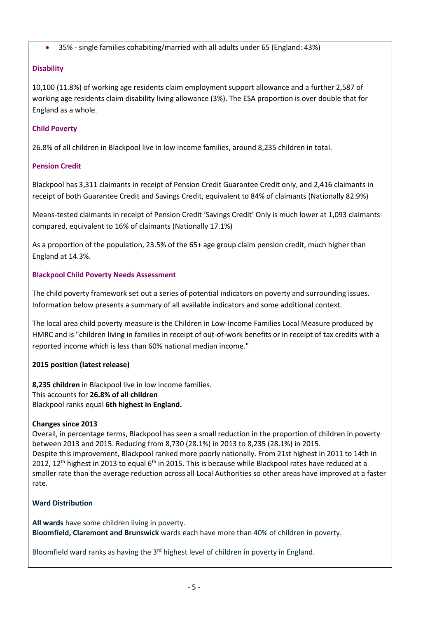35% - single families cohabiting/married with all adults under 65 (England: 43%)

## **Disability**

10,100 (11.8%) of working age residents claim employment support allowance and a further 2,587 of working age residents claim disability living allowance (3%). The ESA proportion is over double that for England as a whole.

## **Child Poverty**

26.8% of all children in Blackpool live in low income families, around 8,235 children in total.

## **Pension Credit**

Blackpool has 3,311 claimants in receipt of Pension Credit Guarantee Credit only, and 2,416 claimants in receipt of both Guarantee Credit and Savings Credit, equivalent to 84% of claimants (Nationally 82.9%)

Means-tested claimants in receipt of Pension Credit 'Savings Credit' Only is much lower at 1,093 claimants compared, equivalent to 16% of claimants (Nationally 17.1%)

As a proportion of the population, 23.5% of the 65+ age group claim pension credit, much higher than England at 14.3%.

## **Blackpool Child Poverty Needs Assessment**

The child poverty framework set out a series of potential indicators on poverty and surrounding issues. Information below presents a summary of all available indicators and some additional context.

The local area child poverty measure is the Children in Low-Income Families Local Measure produced by HMRC and is "children living in families in receipt of out-of-work benefits or in receipt of tax credits with a reported income which is less than 60% national median income."

## **2015 position (latest release)**

**8,235 children** in Blackpool live in low income families. This accounts for **26.8% of all children** Blackpool ranks equal **6th highest in England.**

## **Changes since 2013**

Overall, in percentage terms, Blackpool has seen a small reduction in the proportion of children in poverty between 2013 and 2015. Reducing from 8,730 (28.1%) in 2013 to 8,235 (28.1%) in 2015. Despite this improvement, Blackpool ranked more poorly nationally. From 21st highest in 2011 to 14th in 2012, 12<sup>th</sup> highest in 2013 to equal  $6<sup>th</sup>$  in 2015. This is because while Blackpool rates have reduced at a smaller rate than the average reduction across all Local Authorities so other areas have improved at a faster rate.

## **Ward Distribution**

**All wards** have some children living in poverty. **Bloomfield, Claremont and Brunswick** wards each have more than 40% of children in poverty.

Bloomfield ward ranks as having the  $3<sup>rd</sup>$  highest level of children in poverty in England.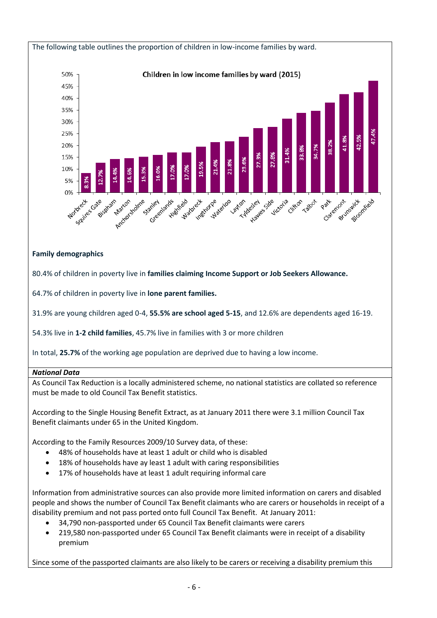

In total, **25.7%** of the working age population are deprived due to having a low income.

#### *National Data*

As Council Tax Reduction is a locally administered scheme, no national statistics are collated so reference must be made to old Council Tax Benefit statistics.

According to the Single Housing Benefit Extract, as at January 2011 there were 3.1 million Council Tax Benefit claimants under 65 in the United Kingdom.

According to the Family Resources 2009/10 Survey data, of these:

- 48% of households have at least 1 adult or child who is disabled
- 18% of households have ay least 1 adult with caring responsibilities
- 17% of households have at least 1 adult requiring informal care

Information from administrative sources can also provide more limited information on carers and disabled people and shows the number of Council Tax Benefit claimants who are carers or households in receipt of a disability premium and not pass ported onto full Council Tax Benefit. At January 2011:

- 34,790 non-passported under 65 Council Tax Benefit claimants were carers
- 219,580 non-passported under 65 Council Tax Benefit claimants were in receipt of a disability premium

Since some of the passported claimants are also likely to be carers or receiving a disability premium this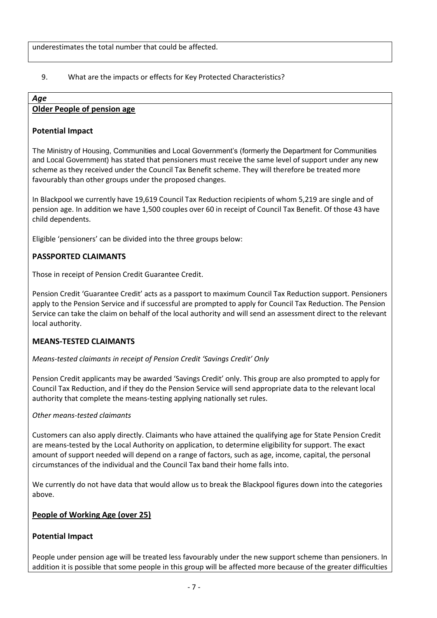## 9. What are the impacts or effects for Key Protected Characteristics?

## *Age*

## **Older People of pension age**

## **Potential Impact**

The Ministry of Housing, Communities and Local Government's (formerly the Department for Communities and Local Government) has stated that pensioners must receive the same level of support under any new scheme as they received under the Council Tax Benefit scheme. They will therefore be treated more favourably than other groups under the proposed changes.

In Blackpool we currently have 19,619 Council Tax Reduction recipients of whom 5,219 are single and of pension age. In addition we have 1,500 couples over 60 in receipt of Council Tax Benefit. Of those 43 have child dependents.

Eligible 'pensioners' can be divided into the three groups below:

## **PASSPORTED CLAIMANTS**

Those in receipt of Pension Credit Guarantee Credit.

Pension Credit 'Guarantee Credit' acts as a passport to maximum Council Tax Reduction support. Pensioners apply to the Pension Service and if successful are prompted to apply for Council Tax Reduction. The Pension Service can take the claim on behalf of the local authority and will send an assessment direct to the relevant local authority.

## **MEANS-TESTED CLAIMANTS**

*Means-tested claimants in receipt of Pension Credit 'Savings Credit' Only* 

Pension Credit applicants may be awarded 'Savings Credit' only. This group are also prompted to apply for Council Tax Reduction, and if they do the Pension Service will send appropriate data to the relevant local authority that complete the means-testing applying nationally set rules.

#### *Other means-tested claimants*

Customers can also apply directly. Claimants who have attained the qualifying age for State Pension Credit are means-tested by the Local Authority on application, to determine eligibility for support. The exact amount of support needed will depend on a range of factors, such as age, income, capital, the personal circumstances of the individual and the Council Tax band their home falls into.

We currently do not have data that would allow us to break the Blackpool figures down into the categories above.

## **People of Working Age (over 25)**

## **Potential Impact**

People under pension age will be treated less favourably under the new support scheme than pensioners. In addition it is possible that some people in this group will be affected more because of the greater difficulties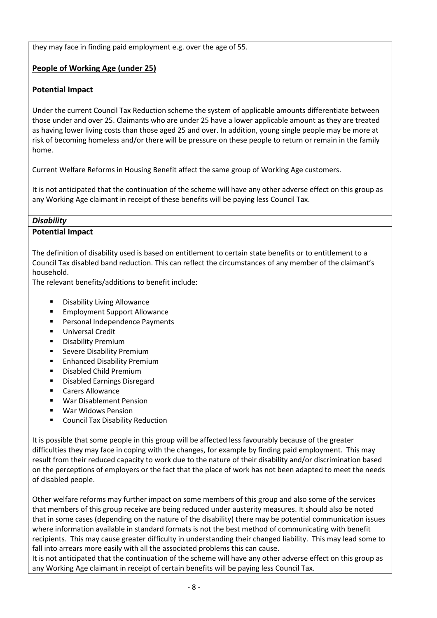they may face in finding paid employment e.g. over the age of 55.

## **People of Working Age (under 25)**

## **Potential Impact**

Under the current Council Tax Reduction scheme the system of applicable amounts differentiate between those under and over 25. Claimants who are under 25 have a lower applicable amount as they are treated as having lower living costs than those aged 25 and over. In addition, young single people may be more at risk of becoming homeless and/or there will be pressure on these people to return or remain in the family home.

Current Welfare Reforms in Housing Benefit affect the same group of Working Age customers.

It is not anticipated that the continuation of the scheme will have any other adverse effect on this group as any Working Age claimant in receipt of these benefits will be paying less Council Tax.

#### *Disability*

## **Potential Impact**

The definition of disability used is based on entitlement to certain state benefits or to entitlement to a Council Tax disabled band reduction. This can reflect the circumstances of any member of the claimant's household.

The relevant benefits/additions to benefit include:

- **•** Disability Living Allowance
- **Employment Support Allowance**
- Personal Independence Payments
- Universal Credit
- Disability Premium
- Severe Disability Premium
- Enhanced Disability Premium
- Disabled Child Premium
- Disabled Earnings Disregard
- Carers Allowance
- War Disablement Pension
- War Widows Pension
- Council Tax Disability Reduction

It is possible that some people in this group will be affected less favourably because of the greater difficulties they may face in coping with the changes, for example by finding paid employment. This may result from their reduced capacity to work due to the nature of their disability and/or discrimination based on the perceptions of employers or the fact that the place of work has not been adapted to meet the needs of disabled people.

Other welfare reforms may further impact on some members of this group and also some of the services that members of this group receive are being reduced under austerity measures. It should also be noted that in some cases (depending on the nature of the disability) there may be potential communication issues where information available in standard formats is not the best method of communicating with benefit recipients. This may cause greater difficulty in understanding their changed liability. This may lead some to fall into arrears more easily with all the associated problems this can cause.

It is not anticipated that the continuation of the scheme will have any other adverse effect on this group as any Working Age claimant in receipt of certain benefits will be paying less Council Tax.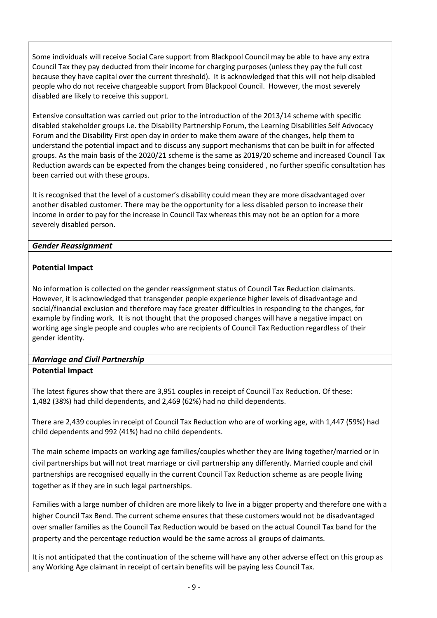Some individuals will receive Social Care support from Blackpool Council may be able to have any extra Council Tax they pay deducted from their income for charging purposes (unless they pay the full cost because they have capital over the current threshold). It is acknowledged that this will not help disabled people who do not receive chargeable support from Blackpool Council. However, the most severely disabled are likely to receive this support.

Extensive consultation was carried out prior to the introduction of the 2013/14 scheme with specific disabled stakeholder groups i.e. the Disability Partnership Forum, the Learning Disabilities Self Advocacy Forum and the Disability First open day in order to make them aware of the changes, help them to understand the potential impact and to discuss any support mechanisms that can be built in for affected groups. As the main basis of the 2020/21 scheme is the same as 2019/20 scheme and increased Council Tax Reduction awards can be expected from the changes being considered , no further specific consultation has been carried out with these groups.

It is recognised that the level of a customer's disability could mean they are more disadvantaged over another disabled customer. There may be the opportunity for a less disabled person to increase their income in order to pay for the increase in Council Tax whereas this may not be an option for a more severely disabled person.

## *Gender Reassignment*

## **Potential Impact**

No information is collected on the gender reassignment status of Council Tax Reduction claimants. However, it is acknowledged that transgender people experience higher levels of disadvantage and social/financial exclusion and therefore may face greater difficulties in responding to the changes, for example by finding work. It is not thought that the proposed changes will have a negative impact on working age single people and couples who are recipients of Council Tax Reduction regardless of their gender identity.

## *Marriage and Civil Partnership* **Potential Impact**

The latest figures show that there are 3,951 couples in receipt of Council Tax Reduction. Of these: 1,482 (38%) had child dependents, and 2,469 (62%) had no child dependents.

There are 2,439 couples in receipt of Council Tax Reduction who are of working age, with 1,447 (59%) had child dependents and 992 (41%) had no child dependents.

The main scheme impacts on working age families/couples whether they are living together/married or in civil partnerships but will not treat marriage or civil partnership any differently. Married couple and civil partnerships are recognised equally in the current Council Tax Reduction scheme as are people living together as if they are in such legal partnerships.

Families with a large number of children are more likely to live in a bigger property and therefore one with a higher Council Tax Bend. The current scheme ensures that these customers would not be disadvantaged over smaller families as the Council Tax Reduction would be based on the actual Council Tax band for the property and the percentage reduction would be the same across all groups of claimants.

It is not anticipated that the continuation of the scheme will have any other adverse effect on this group as any Working Age claimant in receipt of certain benefits will be paying less Council Tax.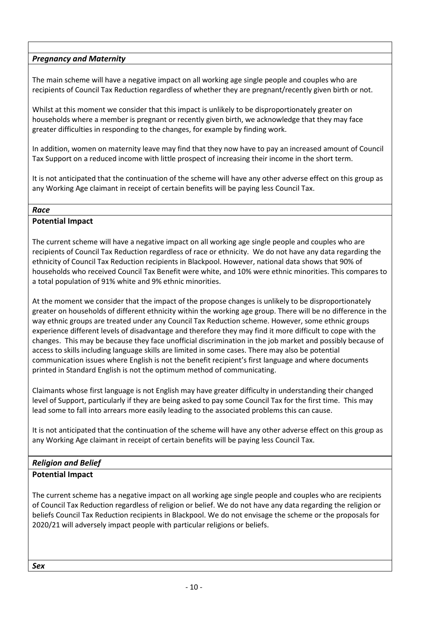## *Pregnancy and Maternity*

The main scheme will have a negative impact on all working age single people and couples who are recipients of Council Tax Reduction regardless of whether they are pregnant/recently given birth or not.

Whilst at this moment we consider that this impact is unlikely to be disproportionately greater on households where a member is pregnant or recently given birth, we acknowledge that they may face greater difficulties in responding to the changes, for example by finding work.

In addition, women on maternity leave may find that they now have to pay an increased amount of Council Tax Support on a reduced income with little prospect of increasing their income in the short term.

It is not anticipated that the continuation of the scheme will have any other adverse effect on this group as any Working Age claimant in receipt of certain benefits will be paying less Council Tax.

#### *Race*

## **Potential Impact**

The current scheme will have a negative impact on all working age single people and couples who are recipients of Council Tax Reduction regardless of race or ethnicity. We do not have any data regarding the ethnicity of Council Tax Reduction recipients in Blackpool. However, national data shows that 90% of households who received Council Tax Benefit were white, and 10% were ethnic minorities. This compares to a total population of 91% white and 9% ethnic minorities.

At the moment we consider that the impact of the propose changes is unlikely to be disproportionately greater on households of different ethnicity within the working age group. There will be no difference in the way ethnic groups are treated under any Council Tax Reduction scheme. However, some ethnic groups experience different levels of disadvantage and therefore they may find it more difficult to cope with the changes. This may be because they face unofficial discrimination in the job market and possibly because of access to skills including language skills are limited in some cases. There may also be potential communication issues where English is not the benefit recipient's first language and where documents printed in Standard English is not the optimum method of communicating.

Claimants whose first language is not English may have greater difficulty in understanding their changed level of Support, particularly if they are being asked to pay some Council Tax for the first time. This may lead some to fall into arrears more easily leading to the associated problems this can cause.

It is not anticipated that the continuation of the scheme will have any other adverse effect on this group as any Working Age claimant in receipt of certain benefits will be paying less Council Tax.

## *Religion and Belief*

## **Potential Impact**

The current scheme has a negative impact on all working age single people and couples who are recipients of Council Tax Reduction regardless of religion or belief. We do not have any data regarding the religion or beliefs Council Tax Reduction recipients in Blackpool. We do not envisage the scheme or the proposals for 2020/21 will adversely impact people with particular religions or beliefs.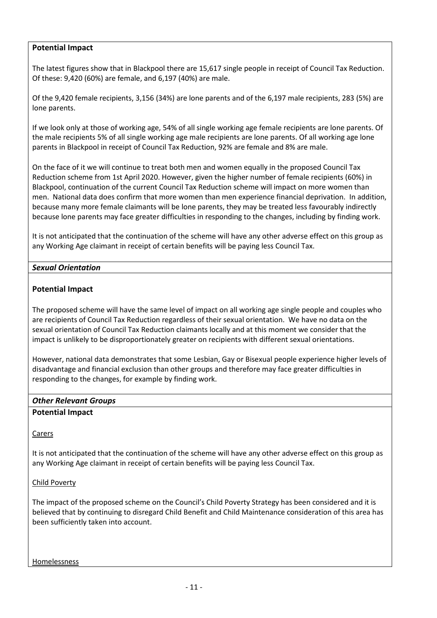## **Potential Impact**

The latest figures show that in Blackpool there are 15,617 single people in receipt of Council Tax Reduction. Of these: 9,420 (60%) are female, and 6,197 (40%) are male.

Of the 9,420 female recipients, 3,156 (34%) are lone parents and of the 6,197 male recipients, 283 (5%) are lone parents.

If we look only at those of working age, 54% of all single working age female recipients are lone parents. Of the male recipients 5% of all single working age male recipients are lone parents. Of all working age lone parents in Blackpool in receipt of Council Tax Reduction, 92% are female and 8% are male.

On the face of it we will continue to treat both men and women equally in the proposed Council Tax Reduction scheme from 1st April 2020. However, given the higher number of female recipients (60%) in Blackpool, continuation of the current Council Tax Reduction scheme will impact on more women than men. National data does confirm that more women than men experience financial deprivation. In addition, because many more female claimants will be lone parents, they may be treated less favourably indirectly because lone parents may face greater difficulties in responding to the changes, including by finding work.

It is not anticipated that the continuation of the scheme will have any other adverse effect on this group as any Working Age claimant in receipt of certain benefits will be paying less Council Tax.

## *Sexual Orientation*

## **Potential Impact**

The proposed scheme will have the same level of impact on all working age single people and couples who are recipients of Council Tax Reduction regardless of their sexual orientation. We have no data on the sexual orientation of Council Tax Reduction claimants locally and at this moment we consider that the impact is unlikely to be disproportionately greater on recipients with different sexual orientations.

However, national data demonstrates that some Lesbian, Gay or Bisexual people experience higher levels of disadvantage and financial exclusion than other groups and therefore may face greater difficulties in responding to the changes, for example by finding work.

| <b>Other Relevant Groups</b> |  |
|------------------------------|--|
|------------------------------|--|

### **Potential Impact**

#### Carers

It is not anticipated that the continuation of the scheme will have any other adverse effect on this group as any Working Age claimant in receipt of certain benefits will be paying less Council Tax.

#### Child Poverty

The impact of the proposed scheme on the Council's Child Poverty Strategy has been considered and it is believed that by continuing to disregard Child Benefit and Child Maintenance consideration of this area has been sufficiently taken into account.

Homelessness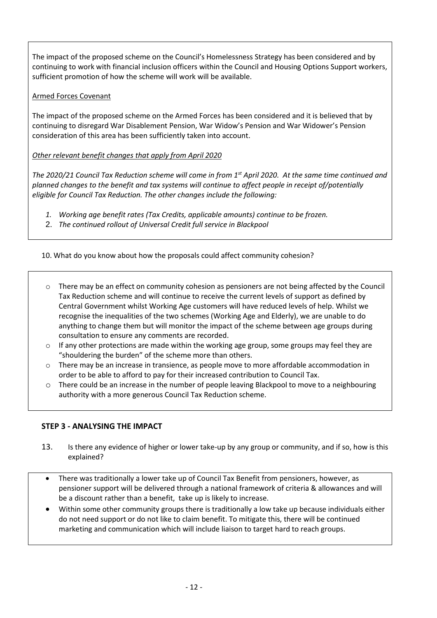The impact of the proposed scheme on the Council's Homelessness Strategy has been considered and by continuing to work with financial inclusion officers within the Council and Housing Options Support workers, sufficient promotion of how the scheme will work will be available.

#### Armed Forces Covenant

The impact of the proposed scheme on the Armed Forces has been considered and it is believed that by continuing to disregard War Disablement Pension, War Widow's Pension and War Widower's Pension consideration of this area has been sufficiently taken into account.

## *Other relevant benefit changes that apply from April 2020*

*The 2020/21 Council Tax Reduction scheme will come in from 1st April 2020. At the same time continued and planned changes to the benefit and tax systems will continue to affect people in receipt of/potentially eligible for Council Tax Reduction. The other changes include the following:*

- *1. Working age benefit rates (Tax Credits, applicable amounts) continue to be frozen.*
- 2. *The continued rollout of Universal Credit full service in Blackpool*

10. What do you know about how the proposals could affect community cohesion?

- $\circ$  There may be an effect on community cohesion as pensioners are not being affected by the Council Tax Reduction scheme and will continue to receive the current levels of support as defined by Central Government whilst Working Age customers will have reduced levels of help. Whilst we recognise the inequalities of the two schemes (Working Age and Elderly), we are unable to do anything to change them but will monitor the impact of the scheme between age groups during consultation to ensure any comments are recorded.
- $\circ$  If any other protections are made within the working age group, some groups may feel they are "shouldering the burden" of the scheme more than others.
- o There may be an increase in transience, as people move to more affordable accommodation in order to be able to afford to pay for their increased contribution to Council Tax.
- o There could be an increase in the number of people leaving Blackpool to move to a neighbouring authority with a more generous Council Tax Reduction scheme.

## **STEP 3 - ANALYSING THE IMPACT**

- 13. Is there any evidence of higher or lower take-up by any group or community, and if so, how is this explained?
- There was traditionally a lower take up of Council Tax Benefit from pensioners, however, as pensioner support will be delivered through a national framework of criteria & allowances and will be a discount rather than a benefit, take up is likely to increase.
- Within some other community groups there is traditionally a low take up because individuals either do not need support or do not like to claim benefit. To mitigate this, there will be continued marketing and communication which will include liaison to target hard to reach groups.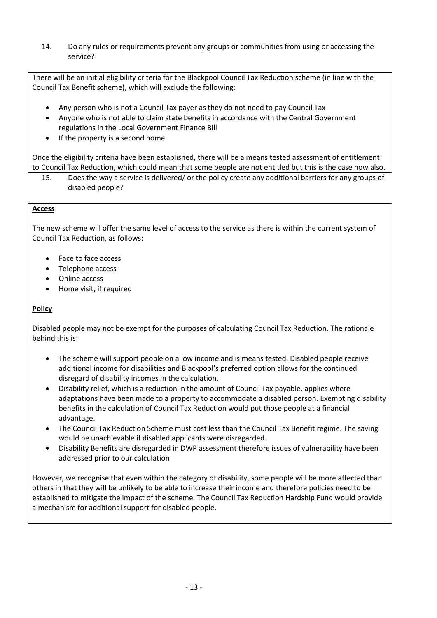14. Do any rules or requirements prevent any groups or communities from using or accessing the service?

There will be an initial eligibility criteria for the Blackpool Council Tax Reduction scheme (in line with the Council Tax Benefit scheme), which will exclude the following:

- Any person who is not a Council Tax payer as they do not need to pay Council Tax
- Anyone who is not able to claim state benefits in accordance with the Central Government regulations in the Local Government Finance Bill
- If the property is a second home

Once the eligibility criteria have been established, there will be a means tested assessment of entitlement to Council Tax Reduction, which could mean that some people are not entitled but this is the case now also.

15. Does the way a service is delivered/ or the policy create any additional barriers for any groups of disabled people?

#### **Access**

The new scheme will offer the same level of access to the service as there is within the current system of Council Tax Reduction, as follows:

- Face to face access
- Telephone access
- Online access
- Home visit, if required

#### **Policy**

Disabled people may not be exempt for the purposes of calculating Council Tax Reduction. The rationale behind this is:

- The scheme will support people on a low income and is means tested. Disabled people receive additional income for disabilities and Blackpool's preferred option allows for the continued disregard of disability incomes in the calculation.
- Disability relief, which is a reduction in the amount of Council Tax payable, applies where adaptations have been made to a property to accommodate a disabled person. Exempting disability benefits in the calculation of Council Tax Reduction would put those people at a financial advantage.
- The Council Tax Reduction Scheme must cost less than the Council Tax Benefit regime. The saving would be unachievable if disabled applicants were disregarded.
- Disability Benefits are disregarded in DWP assessment therefore issues of vulnerability have been addressed prior to our calculation

However, we recognise that even within the category of disability, some people will be more affected than others in that they will be unlikely to be able to increase their income and therefore policies need to be established to mitigate the impact of the scheme. The Council Tax Reduction Hardship Fund would provide a mechanism for additional support for disabled people.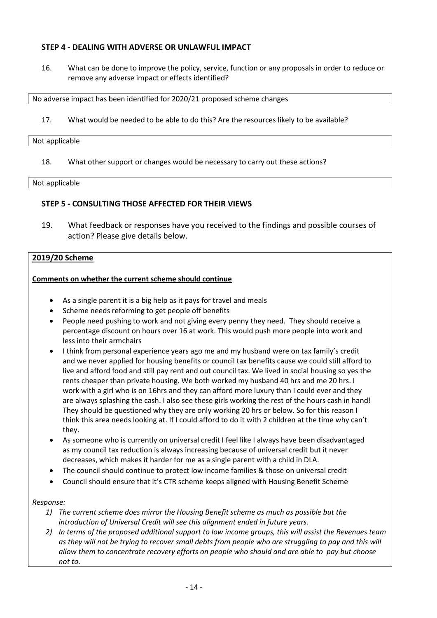## **STEP 4 - DEALING WITH ADVERSE OR UNLAWFUL IMPACT**

16. What can be done to improve the policy, service, function or any proposals in order to reduce or remove any adverse impact or effects identified?

No adverse impact has been identified for 2020/21 proposed scheme changes

17. What would be needed to be able to do this? Are the resources likely to be available?

#### Not applicable

18. What other support or changes would be necessary to carry out these actions?

#### Not applicable

#### **STEP 5 - CONSULTING THOSE AFFECTED FOR THEIR VIEWS**

19. What feedback or responses have you received to the findings and possible courses of action? Please give details below.

#### **2019/20 Scheme**

#### **Comments on whether the current scheme should continue**

- As a single parent it is a big help as it pays for travel and meals
- Scheme needs reforming to get people off benefits
- People need pushing to work and not giving every penny they need. They should receive a percentage discount on hours over 16 at work. This would push more people into work and less into their armchairs
- I think from personal experience years ago me and my husband were on tax family's credit and we never applied for housing benefits or council tax benefits cause we could still afford to live and afford food and still pay rent and out council tax. We lived in social housing so yes the rents cheaper than private housing. We both worked my husband 40 hrs and me 20 hrs. I work with a girl who is on 16hrs and they can afford more luxury than I could ever and they are always splashing the cash. I also see these girls working the rest of the hours cash in hand! They should be questioned why they are only working 20 hrs or below. So for this reason I think this area needs looking at. If I could afford to do it with 2 children at the time why can't they.
- As someone who is currently on universal credit I feel like I always have been disadvantaged as my council tax reduction is always increasing because of universal credit but it never decreases, which makes it harder for me as a single parent with a child in DLA.
- The council should continue to protect low income families & those on universal credit
- Council should ensure that it's CTR scheme keeps aligned with Housing Benefit Scheme

#### *Response:*

- *1) The current scheme does mirror the Housing Benefit scheme as much as possible but the introduction of Universal Credit will see this alignment ended in future years.*
- *2) In terms of the proposed additional support to low income groups, this will assist the Revenues team*  as they will not be trying to recover small debts from people who are struggling to pay and this will *allow them to concentrate recovery efforts on people who should and are able to pay but choose not to.*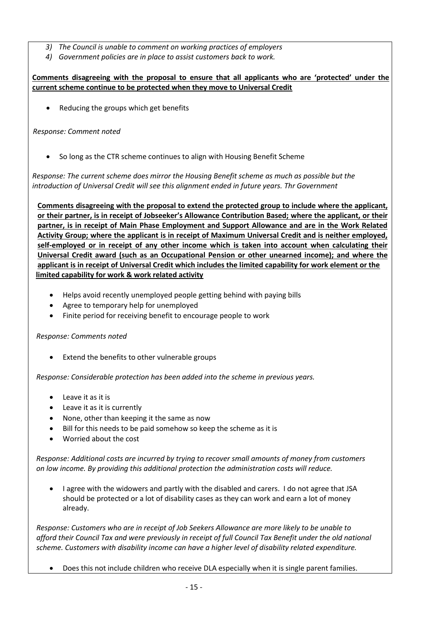- *3) The Council is unable to comment on working practices of employers*
- *4) Government policies are in place to assist customers back to work.*

**Comments disagreeing with the proposal to ensure that all applicants who are 'protected' under the current scheme continue to be protected when they move to Universal Credit**

Reducing the groups which get benefits

*Response: Comment noted*

• So long as the CTR scheme continues to align with Housing Benefit Scheme

*Response: The current scheme does mirror the Housing Benefit scheme as much as possible but the introduction of Universal Credit will see this alignment ended in future years. Thr Government* 

**Comments disagreeing with the proposal to extend the protected group to include where the applicant, or their partner, is in receipt of Jobseeker's Allowance Contribution Based; where the applicant, or their partner, is in receipt of Main Phase Employment and Support Allowance and are in the Work Related Activity Group; where the applicant is in receipt of Maximum Universal Credit and is neither employed, self-employed or in receipt of any other income which is taken into account when calculating their Universal Credit award (such as an Occupational Pension or other unearned income); and where the applicant is in receipt of Universal Credit which includes the limited capability for work element or the limited capability for work & work related activity**

- Helps avoid recently unemployed people getting behind with paying bills
- Agree to temporary help for unemployed
- Finite period for receiving benefit to encourage people to work

#### *Response: Comments noted*

Extend the benefits to other vulnerable groups

*Response: Considerable protection has been added into the scheme in previous years.*

- Leave it as it is
- Leave it as it is currently
- None, other than keeping it the same as now
- Bill for this needs to be paid somehow so keep the scheme as it is
- Worried about the cost

*Response: Additional costs are incurred by trying to recover small amounts of money from customers on low income. By providing this additional protection the administration costs will reduce.* 

 I agree with the widowers and partly with the disabled and carers. I do not agree that JSA should be protected or a lot of disability cases as they can work and earn a lot of money already.

*Response: Customers who are in receipt of Job Seekers Allowance are more likely to be unable to afford their Council Tax and were previously in receipt of full Council Tax Benefit under the old national scheme. Customers with disability income can have a higher level of disability related expenditure.*

Does this not include children who receive DLA especially when it is single parent families.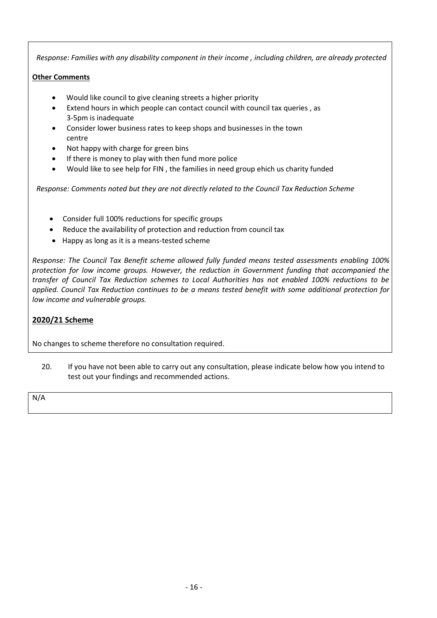*Response: Families with any disability component in their income , including children, are already protected*

#### **Other Comments**

- Would like council to give cleaning streets a higher priority
- Extend hours in which people can contact council with council tax queries , as 3-5pm is inadequate
- Consider lower business rates to keep shops and businesses in the town centre
- Not happy with charge for green bins
- If there is money to play with then fund more police
- Would like to see help for FIN , the families in need group ehich us charity funded

*Response: Comments noted but they are not directly related to the Council Tax Reduction Scheme*

- Consider full 100% reductions for specific groups
- Reduce the availability of protection and reduction from council tax
- Happy as long as it is a means-tested scheme

*Response: The Council Tax Benefit scheme allowed fully funded means tested assessments enabling 100% protection for low income groups. However, the reduction in Government funding that accompanied the transfer of Council Tax Reduction schemes to Local Authorities has not enabled 100% reductions to be applied. Council Tax Reduction continues to be a means tested benefit with some additional protection for low income and vulnerable groups.*

## **2020/21 Scheme**

No changes to scheme therefore no consultation required.

20. If you have not been able to carry out any consultation, please indicate below how you intend to test out your findings and recommended actions.

N/A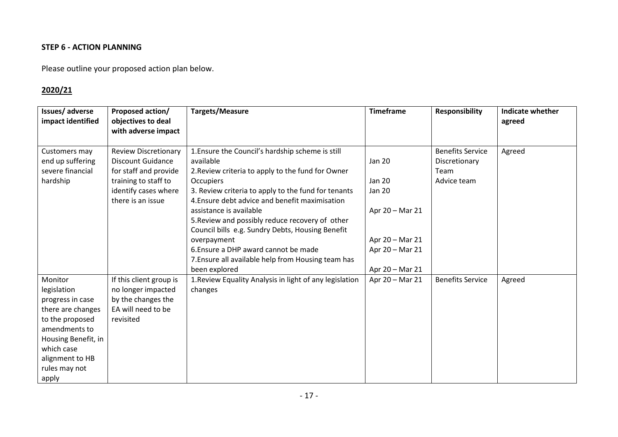## **STEP 6 - ACTION PLANNING**

Please outline your proposed action plan below.

## **2020/21**

| Issues/adverse<br>impact identified | Proposed action/<br>objectives to deal<br>with adverse impact | Targets/Measure                                                                                                                | <b>Timeframe</b> | <b>Responsibility</b>   | <b>Indicate whether</b><br>agreed |
|-------------------------------------|---------------------------------------------------------------|--------------------------------------------------------------------------------------------------------------------------------|------------------|-------------------------|-----------------------------------|
| Customers may                       | <b>Review Discretionary</b>                                   | 1. Ensure the Council's hardship scheme is still                                                                               |                  | <b>Benefits Service</b> | Agreed                            |
| end up suffering                    | <b>Discount Guidance</b>                                      | available                                                                                                                      | <b>Jan 20</b>    | Discretionary           |                                   |
| severe financial                    | for staff and provide                                         | 2. Review criteria to apply to the fund for Owner                                                                              |                  | Team                    |                                   |
| hardship                            | training to staff to                                          | <b>Occupiers</b>                                                                                                               | <b>Jan 20</b>    | Advice team             |                                   |
|                                     | identify cases where<br>there is an issue                     | 3. Review criteria to apply to the fund for tenants<br>4. Ensure debt advice and benefit maximisation                          | Jan 20           |                         |                                   |
|                                     |                                                               | assistance is available<br>5. Review and possibly reduce recovery of other<br>Council bills e.g. Sundry Debts, Housing Benefit | Apr 20 - Mar 21  |                         |                                   |
|                                     |                                                               | overpayment                                                                                                                    | Apr 20 - Mar 21  |                         |                                   |
|                                     |                                                               | 6. Ensure a DHP award cannot be made                                                                                           | Apr 20 - Mar 21  |                         |                                   |
|                                     |                                                               | 7. Ensure all available help from Housing team has                                                                             |                  |                         |                                   |
|                                     |                                                               | been explored                                                                                                                  | Apr 20 - Mar 21  |                         |                                   |
| Monitor                             | If this client group is                                       | 1. Review Equality Analysis in light of any legislation                                                                        | Apr 20 - Mar 21  | <b>Benefits Service</b> | Agreed                            |
| legislation                         | no longer impacted                                            | changes                                                                                                                        |                  |                         |                                   |
| progress in case                    | by the changes the                                            |                                                                                                                                |                  |                         |                                   |
| there are changes                   | EA will need to be                                            |                                                                                                                                |                  |                         |                                   |
| to the proposed<br>amendments to    | revisited                                                     |                                                                                                                                |                  |                         |                                   |
| Housing Benefit, in                 |                                                               |                                                                                                                                |                  |                         |                                   |
| which case                          |                                                               |                                                                                                                                |                  |                         |                                   |
| alignment to HB                     |                                                               |                                                                                                                                |                  |                         |                                   |
| rules may not                       |                                                               |                                                                                                                                |                  |                         |                                   |
| apply                               |                                                               |                                                                                                                                |                  |                         |                                   |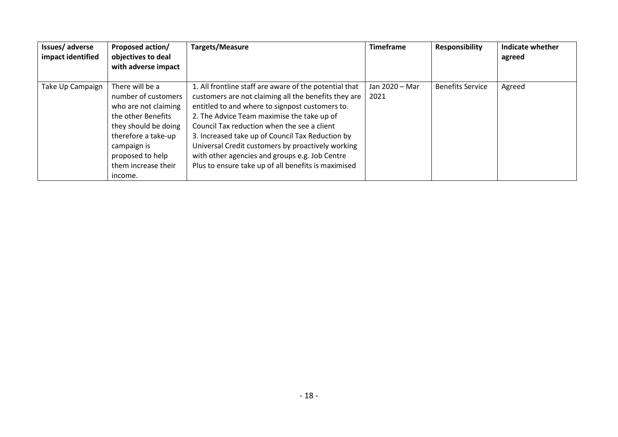| Issues/adverse<br>impact identified | Proposed action/<br>objectives to deal<br>with adverse impact                                                                                                                                            | Targets/Measure                                                                                                                                                                                                                                                                                                                                                                                                                                                                  | <b>Timeframe</b>       | <b>Responsibility</b>   | <b>Indicate whether</b><br>agreed |
|-------------------------------------|----------------------------------------------------------------------------------------------------------------------------------------------------------------------------------------------------------|----------------------------------------------------------------------------------------------------------------------------------------------------------------------------------------------------------------------------------------------------------------------------------------------------------------------------------------------------------------------------------------------------------------------------------------------------------------------------------|------------------------|-------------------------|-----------------------------------|
| Take Up Campaign                    | There will be a<br>number of customers<br>who are not claiming<br>the other Benefits<br>they should be doing<br>therefore a take-up<br>campaign is<br>proposed to help<br>them increase their<br>income. | 1. All frontline staff are aware of the potential that<br>customers are not claiming all the benefits they are<br>entitled to and where to signpost customers to.<br>2. The Advice Team maximise the take up of<br>Council Tax reduction when the see a client<br>3. Increased take up of Council Tax Reduction by<br>Universal Credit customers by proactively working<br>with other agencies and groups e.g. Job Centre<br>Plus to ensure take up of all benefits is maximised | Jan 2020 - Mar<br>2021 | <b>Benefits Service</b> | Agreed                            |